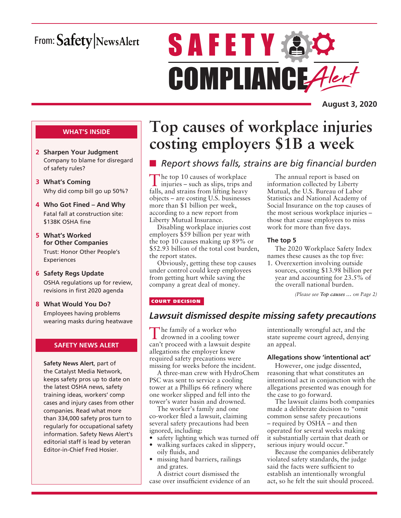## From: Safety NewsAlert

# **SAFETY & O** COMPLIANCE Alert

**August 3, 2020**

### **WHAT'S INSIDE**

- **2 Sharpen Your Judgment** Company to blame for disregard of safety rules?
- **3 What's Coming** Why did comp bill go up 50%?
- **4 Who Got Fined And Why** Fatal fall at construction site: \$138K OSHA fine
- **5 What's Worked for Other Companies** Trust: Honor Other People's

Experiences

- **6 Safety Regs Update** OSHA regulations up for review, revisions in first 2020 agenda
- **8 What Would You Do?** Employees having problems wearing masks during heatwave

### **SAFETY NEWS ALERT**

**Safety News Alert**, part of the Catalyst Media Network, keeps safety pros up to date on the latest OSHA news, safety training ideas, workers' comp cases and injury cases from other companies. Read what more than 334,000 safety pros turn to regularly for occupational safety information. Safety News Alert's editorial staff is lead by veteran Editor-in-Chief Fred Hosier.

## **Top causes of workplace injuries costing employers \$1B a week**

## **n** *Report shows falls, strains are big financial burden*

The top 10 causes of workplace iniuries  $\epsilon$  and in injuries – such as slips, trips and falls, and strains from lifting heavy objects – are costing U.S. businesses more than \$1 billion per week, according to a new report from Liberty Mutual Insurance.

Disabling workplace injuries cost employers \$59 billion per year with the top 10 causes making up 89% or \$52.93 billion of the total cost burden, the report states.

Obviously, getting these top causes under control could keep employees from getting hurt while saving the company a great deal of money.

The annual report is based on information collected by Liberty Mutual, the U.S. Bureau of Labor Statistics and National Academy of Social Insurance on the top causes of the most serious workplace injuries – those that cause employees to miss work for more than five days.

### **The top 5**

The 2020 Workplace Safety Index names these causes as the top five:

1. Overexertion involving outside sources, costing \$13.98 billion per year and accounting for 23.5% of the overall national burden.

*(Please see Top causes … on Page 2)*

### COURT DECISION

### *Lawsuit dismissed despite missing safety precautions*

The family of a worker who drowned in a cooling tower can't proceed with a lawsuit despite allegations the employer knew required safety precautions were missing for weeks before the incident.

A three-man crew with HydroChem PSC was sent to service a cooling tower at a Phillips 66 refinery where one worker slipped and fell into the tower's water basin and drowned.

The worker's family and one co-worker filed a lawsuit, claiming several safety precautions had been ignored, including:

- safety lighting which was turned off
- walking surfaces caked in slippery, oily fluids, and
- missing hard barriers, railings and grates.

A district court dismissed the case over insufficient evidence of an intentionally wrongful act, and the state supreme court agreed, denying an appeal.

### **Allegations show 'intentional act'**

However, one judge dissented, reasoning that what constitutes an intentional act in conjunction with the allegations presented was enough for the case to go forward.

The lawsuit claims both companies made a deliberate decision to "omit common sense safety precautions – required by OSHA – and then operated for several weeks making it substantially certain that death or serious injury would occur."

Because the companies deliberately violated safety standards, the judge said the facts were sufficient to establish an intentionally wrongful act, so he felt the suit should proceed.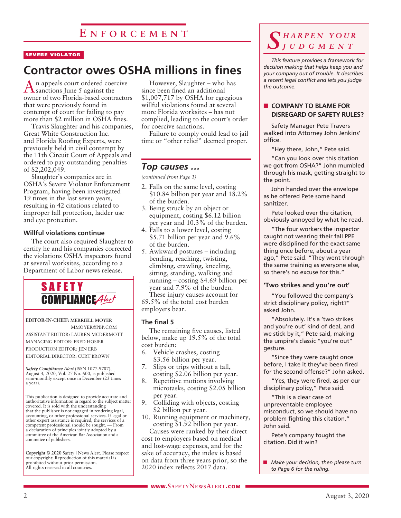### SEVERE VIOLATOR

## **Contractor owes OSHA millions in fines**

n appeals court ordered coercive  $\Gamma$  sanctions June 5 against the owner of two Florida-based contractors that were previously found in contempt of court for failing to pay more than \$2 million in OSHA fines.

Travis Slaughter and his companies, Great White Construction Inc. and Florida Roofing Experts, were previously held in civil contempt by the 11th Circuit Court of Appeals and ordered to pay outstanding penalties of \$2,202,049.

Slaughter's companies are in OSHA's Severe Violator Enforcement Program, having been investigated 19 times in the last seven years, resulting in 42 citations related to improper fall protection, ladder use and eye protection.

### **Willful violations continue**

The court also required Slaughter to certify he and his companies corrected the violations OSHA inspectors found at several worksites, according to a Department of Labor news release.



**EDITOR-IN-CHIEF: MERRIELL MOYER** MMOYER@PBP.COM ASSISTANT EDITOR: LAUREN MCDERMOTT MANAGING EDITOR: FRED HOSIER PRODUCTION EDITOR: JEN ERB

EDITORIAL DIRECTOR: CURT BROWN

*Safety Compliance Alert* (ISSN 1077-9787), August 3, 2020, Vol. 27 No. 600, is published semi-monthly except once in December (23 times a year).

This publication is designed to provide accurate and authoritative information in regard to the subject matter covered. It is sold with the understanding that the publisher is not engaged in rendering legal, accounting, or other professional services. If legal or other expert assistance is required, the services of a competent professional should be sought. — From a declaration of principles jointly adopted by a committee of the American Bar Association and a committee of publishers.

**Copyright © 2020** Safety | News Alert. Please respect our copyright: Reproduction of this material is prohibited without prior permission. All rights reserved in all countries.

However, Slaughter – who has since been fined an additional \$1,007,717 by OSHA for egregious willful violations found at several more Florida worksites – has not complied, leading to the court's order for coercive sanctions.

Failure to comply could lead to jail time or "other relief" deemed proper.

### *Top causes …*

*(continued from Page 1)*

- 2. Falls on the same level, costing \$10.84 billion per year and 18.2% of the burden.
- 3. Being struck by an object or equipment, costing \$6.12 billion per year and 10.3% of the burden.
- 4. Falls to a lower level, costing \$5.71 billion per year and 9.6% of the burden.
- 5. Awkward postures including bending, reaching, twisting, climbing, crawling, kneeling, sitting, standing, walking and running – costing \$4.69 billion per year and 7.9% of the burden. These injury causes account for

69.5% of the total cost burden employers bear.

### **The final 5**

The remaining five causes, listed below, make up 19.5% of the total cost burden:

- 6. Vehicle crashes, costing \$3.56 billion per year.
- 7. Slips or trips without a fall, costing \$2.06 billion per year.
- 8. Repetitive motions involving microtasks, costing \$2.05 billion per year.
- 9. Colliding with objects, costing \$2 billion per year.
- 10. Running equipment or machinery, costing \$1.92 billion per year.

Causes were ranked by their direct cost to employers based on medical and lost-wage expenses, and for the sake of accuracy, the index is based on data from three years prior, so the 2020 index reflects 2017 data.

### *S h a r p e n y o u r j u d g m e n t*

*This feature provides a framework for decision making that helps keep you and your company out of trouble. It describes a recent legal conflict and lets you judge the outcome.*

### **N** COMPANY TO BLAME FOR **DISREGARD OF SAFETY RULES?**

Safety Manager Pete Travers walked into Attorney John Jenkins' office.

"Hey there, John," Pete said.

"Can you look over this citation we got from OSHA?" John mumbled through his mask, getting straight to the point.

John handed over the envelope as he offered Pete some hand sanitizer.

Pete looked over the citation, obviously annoyed by what he read.

"The four workers the inspector caught not wearing their fall PPE were disciplined for the exact same thing once before, about a year ago," Pete said. "They went through the same training as everyone else, so there's no excuse for this."

### **'Two strikes and you're out'**

"You followed the company's strict disciplinary policy, right?" asked John.

"Absolutely. It's a 'two strikes and you're out' kind of deal, and we stick by it," Pete said, making the umpire's classic "you're out" gesture.

"Since they were caught once before, I take it they've been fired for the second offense?" John asked.

"Yes, they were fired, as per our disciplinary policy," Pete said.

"This is a clear case of unpreventable employee misconduct, so we should have no problem fighting this citation," John said.

Pete's company fought the citation. Did it win?

**n** *Make your decision, then please turn to Page 6 for the ruling.*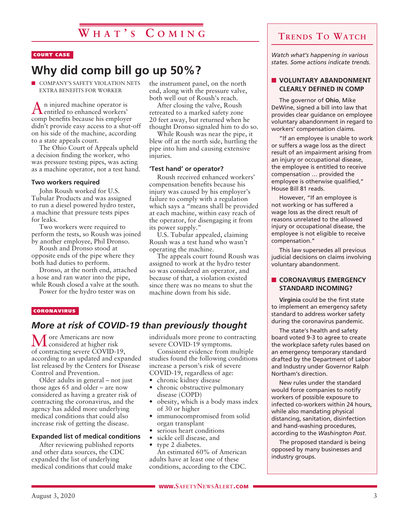### COURT CASE

## **Why did comp bill go up 50%?**

**NO COMPANY'S SAFETY VIOLATION NETS** EXTRA BENEFITS FOR WORKER

 $A$ n injured machine operator is entitled to enhanced workers' comp benefits because his employer didn't provide easy access to a shut-off on his side of the machine, according to a state appeals court.

The Ohio Court of Appeals upheld a decision finding the worker, who was pressure testing pipes, was acting as a machine operator, not a test hand.

### **Two workers required**

John Roush worked for U.S. Tubular Products and was assigned to run a diesel powered hydro tester, a machine that pressure tests pipes for leaks.

Two workers were required to perform the tests, so Roush was joined by another employee, Phil Dronso.

Roush and Dronso stood at opposite ends of the pipe where they both had duties to perform.

Dronso, at the north end, attached a hose and ran water into the pipe, while Roush closed a valve at the south.

Power for the hydro tester was on

the instrument panel, on the north end, along with the pressure valve, both well out of Roush's reach.

After closing the valve, Roush retreated to a marked safety zone 20 feet away, but returned when he thought Dronso signaled him to do so.

While Roush was near the pipe, it blew off at the north side, hurtling the pipe into him and causing extensive injuries.

### **'Test hand' or operator?**

Roush received enhanced workers' compensation benefits because his injury was caused by his employer's failure to comply with a regulation which says a "means shall be provided at each machine, within easy reach of the operator, for disengaging it from its power supply."

U.S. Tubular appealed, claiming Roush was a test hand who wasn't operating the machine.

The appeals court found Roush was assigned to work at the hydro tester so was considered an operator, and because of that, a violation existed since there was no means to shut the machine down from his side.

### **CORONAVIRUS**

### *More at risk of COVID-19 than previously thought*

More Americans are now considered at higher risk of contracting severe COVID-19, according to an updated and expanded list released by the Centers for Disease Control and Prevention.

Older adults in general – not just those ages 65 and older – are now considered as having a greater risk of contracting the coronavirus, and the agency has added more underlying medical conditions that could also increase risk of getting the disease.

### **Expanded list of medical conditions**

After reviewing published reports and other data sources, the CDC expanded the list of underlying medical conditions that could make

individuals more prone to contracting severe COVID-19 symptoms.

Consistent evidence from multiple studies found the following conditions increase a person's risk of severe COVID-19, regardless of age:

- chronic kidney disease
- chronic obstructive pulmonary disease (COPD)
- obesity, which is a body mass index of 30 or higher
- immunocompromised from solid organ transplant
- serious heart conditions
- sickle cell disease, and
- type 2 diabetes. An estimated 60% of American

adults have at least one of these conditions, according to the CDC. **Trends To Watch**

*Watch what's happening in various states. Some actions indicate trends.*

### **N** VOLUNTARY ABANDONMENT **CLEARLY DEFINED IN COMP**

The governor of **Ohio**, Mike DeWine, signed a bill into law that provides clear guidance on employee voluntary abandonment in regard to workers' compensation claims.

"If an employee is unable to work or suffers a wage loss as the direct result of an impairment arising from an injury or occupational disease, the employee is entitled to receive compensation … provided the employee is otherwise qualified," House Bill 81 reads.

However, "If an employee is not working or has suffered a wage loss as the direct result of reasons unrelated to the allowed injury or occupational disease, the employee is not eligible to receive compensation."

This law supersedes all previous judicial decisions on claims involving voluntary abandonment.

### **n** CORONAVIRUS EMERGENCY **STANDARD INCOMING?**

**Virginia** could be the first state to implement an emergency safety standard to address worker safety during the coronavirus pandemic.

The state's health and safety board voted 9-3 to agree to create the workplace safety rules based on an emergency temporary standard drafted by the Department of Labor and Industry under Governor Ralph Northam's direction.

New rules under the standard would force companies to notify workers of possible exposure to infected co-workers within 24 hours, while also mandating physical distancing, sanitation, disinfection and hand-washing procedures, according to the *Washington Post*.

The proposed standard is being opposed by many businesses and industry groups.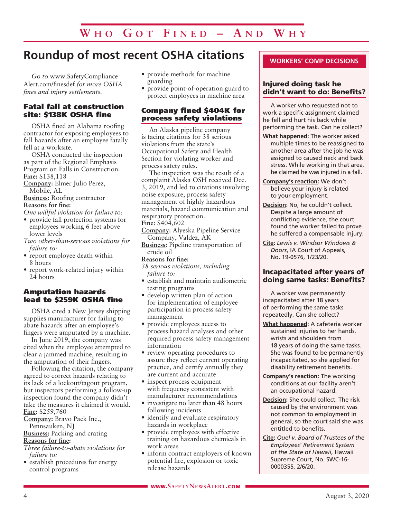## **Roundup of most recent OSHA citations**

*Go to* www.SafetyCompliance Alert.com/finesdef *for more OSHA fines and injury settlements.*

### Fatal fall at construction site: \$138K OSHA fine

OSHA fined an Alabama roofing contractor for exposing employees to fall hazards after an employee fatally fell at a worksite.

OSHA conducted the inspection as part of the Regional Emphasis Program on Falls in Construction. **Fine:** \$138,118

**Company:** Elmer Julio Perez, Mobile, AL

**Business:** Roofing contractor **Reasons for fine:**

*One willful violation for failure to:*

- provide fall protection systems for employees working 6 feet above lower levels
- *Two other-than-serious violations for failure to:*
- report employee death within 8 hours
- report work-related injury within 24 hours

### Amputation hazards lead to \$259K OSHA fine

OSHA cited a New Jersey shipping supplies manufacturer for failing to abate hazards after an employee's fingers were amputated by a machine.

In June 2019, the company was cited when the employee attempted to clear a jammed machine, resulting in the amputation of their fingers.

Following the citation, the company agreed to correct hazards relating to its lack of a lockout/tagout program, but inspectors performing a follow-up inspection found the company didn't take the measures it claimed it would. **Fine:** \$259,760

**Company:** Bravo Pack Inc.,

Pennsauken, NJ **Business:** Packing and crating

**Reasons for fine:**

*Three failure-to-abate violations for failure to:*

• establish procedures for energy control programs

- provide methods for machine guarding
- provide point-of-operation guard to protect employees in machine area

### Company fined \$404K for process safety violations

An Alaska pipeline company is facing citations for 38 serious violations from the state's Occupational Safety and Health Section for violating worker and process safety rules.

The inspection was the result of a complaint Alaska OSH received Dec. 3, 2019, and led to citations involving noise exposure, process safety management of highly hazardous materials, hazard communication and respiratory protection. **Fine:** \$404,602

- **Company:** Alyeska Pipeline Service Company, Valdez, AK
- **Business:** Pipeline transportation of crude oil

### **Reasons for fine:**

- *38 serious violations, including failure to:*
- establish and maintain audiometric testing programs
- develop written plan of action for implementation of employee participation in process safety management
- provide employees access to process hazard analyses and other required process safety management information
- review operating procedures to assure they reflect current operating practice, and certify annually they are current and accurate
- inspect process equipment with frequency consistent with manufacturer recommendations
- investigate no later than 48 hours following incidents
- identify and evaluate respiratory hazards in workplace
- provide employees with effective training on hazardous chemicals in work areas
- inform contract employers of known potential fire, explosion or toxic release hazards

### **WORKERS' COMP DECISIONS**

### Injured doing task he didn't want to do: Benefits?

A worker who requested not to work a specific assignment claimed he fell and hurt his back while performing the task. Can he collect?

- **What happened:** The worker asked multiple times to be reassigned to another area after the job he was assigned to caused neck and back stress. While working in that area, he claimed he was injured in a fall.
- **Company's reaction:** We don't believe your injury is related to your employment.
- **Decision:** No, he couldn't collect. Despite a large amount of conflicting evidence, the court found the worker failed to prove he suffered a compensable injury.
- **Cite:** *Lewis v. Windsor Windows & Doors*, IA Court of Appeals, No. 19-0576, 1/23/20.

### Incapacitated after years of doing same tasks: Benefits?

A worker was permanently incapacitated after 18 years of performing the same tasks repeatedly. Can she collect?

- **What happened:** A cafeteria worker sustained injuries to her hands, wrists and shoulders from 18 years of doing the same tasks. She was found to be permanently incapacitated, so she applied for disability retirement benefits.
- **Company's reaction:** The working conditions at our facility aren't an occupational hazard.
- **Decision:** She could collect. The risk caused by the environment was not common to employment in general, so the court said she was entitled to benefits.
- **Cite:** *Quel v. Board of Trustees of the Employees' Retirement System of the State of Hawaii*, Hawaii Supreme Court, No. SWC-16- 0000355, 2/6/20.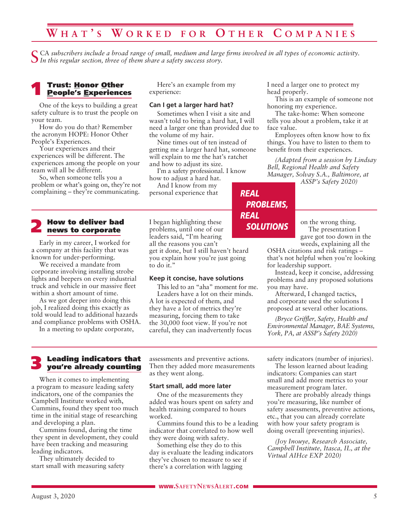## **W h a t ' s W o r k e d f o r O t h e r C o m p a n i es**

CA subscribers include a broad range of small, medium and large firms involved in all types of economic activity. *In this regular section, three of them share a safety success story.*

## Trust: <u>H</u>onor <u>O</u>ther<br><u>People's E</u>xperiences

One of the keys to building a great safety culture is to trust the people on your team.

How do you do that? Remember the acronym HOPE: Honor Other People's Experiences.

Your experiences and their experiences will be different. The experiences among the people on your team will all be different.

So, when someone tells you a problem or what's going on, they're not complaining – they're communicating.

2 How to deliver bad news to corporate

Early in my career, I worked for a company at this facility that was known for under-performing.

We received a mandate from corporate involving installing strobe lights and beepers on every industrial truck and vehicle in our massive fleet within a short amount of time.

As we got deeper into doing this job, I realized doing this exactly as told would lead to additional hazards and compliance problems with OSHA.

In a meeting to update corporate,

Here's an example from my experience:

### **Can I get a larger hard hat?**

Sometimes when I visit a site and wasn't told to bring a hard hat, I will need a larger one than provided due to the volume of my hair.

Nine times out of ten instead of getting me a larger hard hat, someone will explain to me the hat's ratchet and how to adjust its size.

I'm a safety professional. I know how to adjust a hard hat.

And I know from my personal experience that

I began highlighting these problems, until one of our leaders said, "I'm hearing all the reasons you can't get it done, but I still haven't heard you explain how you're just going to do it."

#### **Keep it concise, have solutions**

This led to an "aha" moment for me. Leaders have a lot on their minds. A lot is expected of them, and they have a lot of metrics they're measuring, forcing them to take the 30,000 foot view. If you're not careful, they can inadvertently focus

I need a larger one to protect my head properly.

This is an example of someone not honoring my experience.

The take-home: When someone tells you about a problem, take it at face value.

Employees often know how to fix things. You have to listen to them to benefit from their experiences.

*(Adapted from a session by Lindsay Bell, Regional Health and Safety Manager, Solvay S.A., Baltimore, at* 

*ASSP's Safety 2020)*



on the wrong thing. The presentation I gave got too down in the weeds, explaining all the

OSHA citations and risk ratings – that's not helpful when you're looking for leadership support.

Instead, keep it concise, addressing problems and any proposed solutions you may have.

Afterward, I changed tactics, and corporate used the solutions I proposed at several other locations.

*(Bryce Griffler, Safety, Health and Environmental Manager, BAE Systems, York, PA, at ASSP's Safety 2020)*

## 3 Leading indicators that you're already counting

When it comes to implementing a program to measure leading safety indicators, one of the companies the Campbell Institute worked with, Cummins, found they spent too much time in the initial stage of researching and developing a plan.

Cummins found, during the time they spent in development, they could have been tracking and measuring leading indicators.

They ultimately decided to start small with measuring safety assessments and preventive actions. Then they added more measurements as they went along.

### **Start small, add more later**

One of the measurements they added was hours spent on safety and health training compared to hours worked.

Cummins found this to be a leading indicator that correlated to how well they were doing with safety.

Something else they do to this day is evaluate the leading indicators they've chosen to measure to see if there's a correlation with lagging

safety indicators (number of injuries).

The lesson learned about leading indicators: Companies can start small and add more metrics to your measurement program later.

There are probably already things you're measuring, like number of safety assessments, preventive actions, etc., that you can already correlate with how your safety program is doing overall (preventing injuries).

*(Joy Inouye, Research Associate, Campbell Institute, Itasca, IL, at the Virtual AIHce EXP 2020)*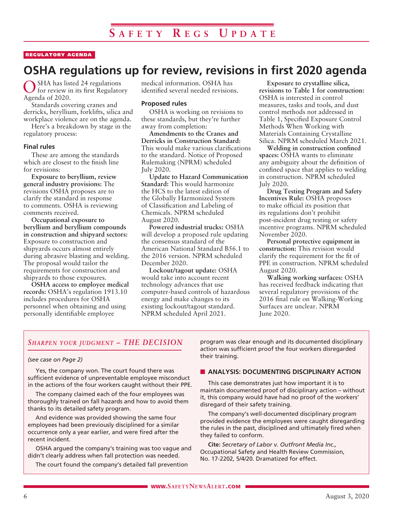### REGULATORY AGENDA

## **OSHA regulations up for review, revisions in first 2020 agenda**

OSHA has listed 24 regulations for review in its first Regulatory Agenda of 2020.

Standards covering cranes and derricks, beryllium, forklifts, silica and workplace violence are on the agenda.

Here's a breakdown by stage in the regulatory process:

#### **Final rules**

These are among the standards which are closest to the finish line for revisions:

**Exposure to beryllium, review general industry provisions:** The revisions OSHA proposes are to clarify the standard in response to comments. OSHA is reviewing comments received.

**Occupational exposure to beryllium and beryllium compounds in construction and shipyard sectors:** Exposure to construction and shipyards occurs almost entirely during abrasive blasting and welding. The proposal would tailor the requirements for construction and shipyards to those exposures.

**OSHA access to employee medical records:** OSHA's regulation 1913.10 includes procedures for OSHA personnel when obtaining and using personally identifiable employee

medical information. OSHA has identified several needed revisions.

### **Proposed rules**

OSHA is working on revisions to these standards, but they're further away from completion:

**Amendments to the Cranes and Derricks in Construction Standard:** This would make various clarifications to the standard. Notice of Proposed Rulemaking (NPRM) scheduled July 2020.

**Update to Hazard Communication Standard:** This would harmonize the HCS to the latest edition of the Globally Harmonized System of Classification and Labeling of Chemicals. NPRM scheduled August 2020.

**Powered industrial trucks:** OSHA will develop a proposed rule updating the consensus standard of the American National Standard B56.1 to the 2016 version. NPRM scheduled December 2020.

**Lockout/tagout update:** OSHA would take into account recent technology advances that use computer-based controls of hazardous energy and make changes to its existing lockout/tagout standard. NPRM scheduled April 2021.

**Exposure to crystalline silica, revisions to Table 1 for construction:** OSHA is interested in control measures, tasks and tools, and dust control methods not addressed in Table 1, Specified Exposure Control Methods When Working with Materials Containing Crystalline Silica. NPRM scheduled March 2021.

**Welding in construction confined spaces:** OSHA wants to eliminate any ambiguity about the definition of confined space that applies to welding in construction. NPRM scheduled July 2020.

**Drug Testing Program and Safety Incentives Rule:** OSHA proposes to make official its position that its regulations don't prohibit post-incident drug testing or safety incentive programs. NPRM scheduled November 2020.

**Personal protective equipment in construction:** This revision would clarify the requirement for the fit of PPE in construction. NPRM scheduled August 2020.

**Walking working surfaces:** OSHA has received feedback indicating that several regulatory provisions of the 2016 final rule on Walking-Working Surfaces are unclear. NPRM June 2020.

### *Sharpen your judgment – THE DECISION*

### *(see case on Page 2)*

Yes, the company won. The court found there was sufficient evidence of unpreventable employee misconduct in the actions of the four workers caught without their PPE.

The company claimed each of the four employees was thoroughly trained on fall hazards and how to avoid them thanks to its detailed safety program.

And evidence was provided showing the same four employees had been previously disciplined for a similar occurrence only a year earlier, and were fired after the recent incident.

OSHA argued the company's training was too vague and didn't clearly address when fall protection was needed.

The court found the company's detailed fall prevention

program was clear enough and its documented disciplinary action was sufficient proof the four workers disregarded their training.

### **N** ANALYSIS: DOCUMENTING DISCIPLINARY ACTION

This case demonstrates just how important it is to maintain documented proof of disciplinary action – without it, this company would have had no proof of the workers' disregard of their safety training.

The company's well-documented disciplinary program provided evidence the employees were caught disregarding the rules in the past, disciplined and ultimately fired when they failed to conform.

**Cite:** *Secretary of Labor v. Outfront Media Inc.,*  Occupational Safety and Health Review Commission, No. 17-2202, 5/4/20. Dramatized for effect.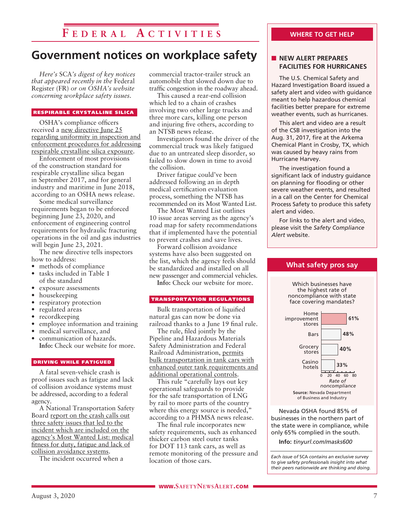## **F e d e r a l A c t i v i t i es**

## **Government notices on workplace safety**

*Here's* SCA*'s digest of key notices that appeared recently in the* Federal Register (FR) *or on OSHA's website concerning workplace safety issues.* 

#### RESPIRABLE CRYSTALLINE SILICA

OSHA's compliance officers received a new directive June 25 regarding uniformity in inspection and enforcement procedures for addressing respirable crystalline silica exposure.

Enforcement of most provisions of the construction standard for respirable crystalline silica began in September 2017, and for general industry and maritime in June 2018, according to an OSHA news release.

Some medical surveillance requirements began to be enforced beginning June 23, 2020, and enforcement of engineering control requirements for hydraulic fracturing operations in the oil and gas industries will begin June 23, 2021.

The new directive tells inspectors how to address:

- methods of compliance
- tasks included in Table 1 of the standard
- exposure assessments
- housekeeping
- respiratory protection
- regulated areas
- recordkeeping
- employee information and training
- medical surveillance, and communication of hazards.
- **Info:** Check our website for more.

#### DRIVING WHILE FATIGUED

A fatal seven-vehicle crash is proof issues such as fatigue and lack of collision avoidance systems must be addressed, according to a federal agency.

A National Transportation Safety Board report on the crash calls out three safety issues that led to the incident which are included on the agency's Most Wanted List: medical fitness for duty, fatigue and lack of collision avoidance systems.

The incident occurred when a

commercial tractor-trailer struck an automobile that slowed down due to traffic congestion in the roadway ahead.

This caused a rear-end collision which led to a chain of crashes involving two other large trucks and three more cars, killing one person and injuring five others, according to an NTSB news release.

Investigators found the driver of the commercial truck was likely fatigued due to an untreated sleep disorder, so failed to slow down in time to avoid the collision.

Driver fatigue could've been addressed following an in depth medical certification evaluation process, something the NTSB has recommended on its Most Wanted List.

The Most Wanted List outlines 10 issue areas serving as the agency's road map for safety recommendations that if implemented have the potential to prevent crashes and save lives.

Forward collision avoidance systems have also been suggested on the list, which the agency feels should be standardized and installed on all new passenger and commercial vehicles.

**Info:** Check our website for more.

### TRANSPORTATION REGULATIONS

Bulk transportation of liquified natural gas can now be done via railroad thanks to a June 19 final rule.

The rule, filed jointly by the Pipeline and Hazardous Materials Safety Administration and Federal Railroad Administration, permits bulk transportation in tank cars with enhanced outer tank requirements and additional operational controls.

This rule "carefully lays out key operational safeguards to provide for the safe transportation of LNG by rail to more parts of the country where this energy source is needed," according to a PHMSA news release.

The final rule incorporates new safety requirements, such as enhanced thicker carbon steel outer tanks for DOT 113 tank cars, as well as remote monitoring of the pressure and location of those cars.

### **WHERE TO GET HELP**

### **NEW ALERT PREPARES FACILITIES FOR HURRICANES**

The U.S. Chemical Safety and Hazard Investigation Board issued a safety alert and video with guidance meant to help hazardous chemical facilities better prepare for extreme weather events, such as hurricanes.

This alert and video are a result of the CSB investigation into the Aug. 31, 2017, fire at the Arkema Chemical Plant in Crosby, TX, which was caused by heavy rains from Hurricane Harvey.

The investigation found a significant lack of industry guidance on planning for flooding or other severe weather events, and resulted in a call on the Center for Chemical Process Safety to produce this safety alert and video.

For links to the alert and video, please visit the *Safety Compliance Alert* website.

**What safety pros say**



Nevada OSHA found 85% of businesses in the northern part of the state were in compliance, while only 65% complied in the south.

**Info:** *tinyurl.com/masks600*

*Each issue of* SCA *contains an exclusive survey to give safety professionals insight into what their peers nationwide are thinking and doing.*